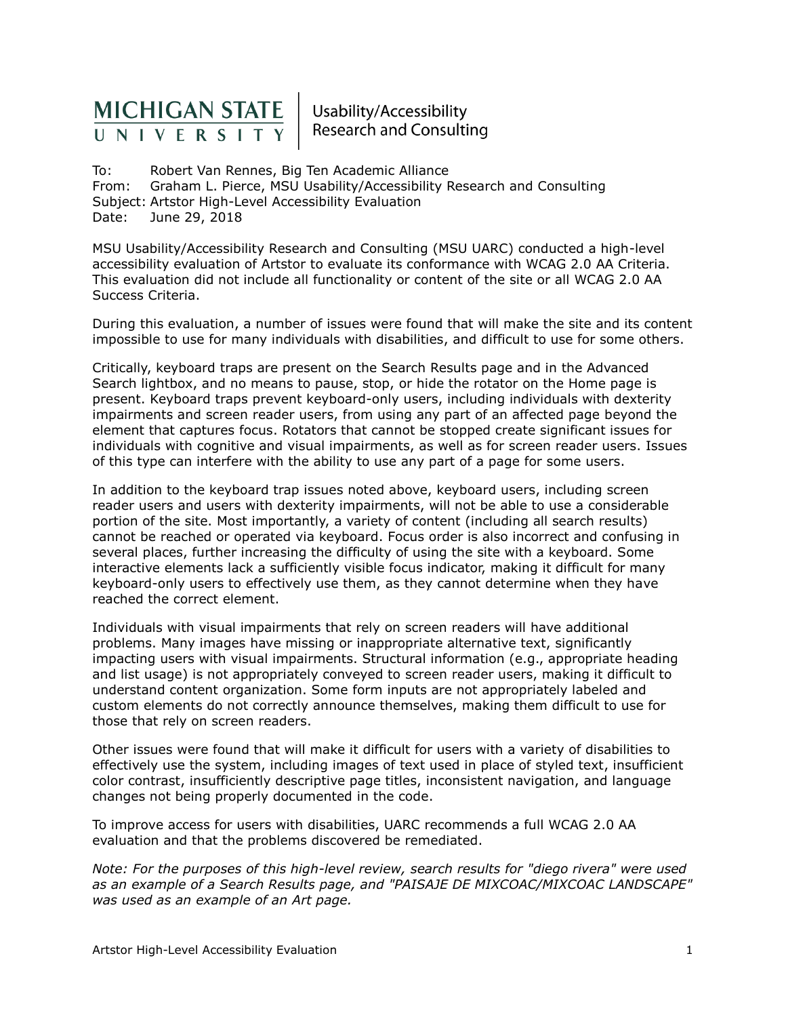#### MICHIGAN STATE Usability/Accessibility Research and Consulting

To: Robert Van Rennes, Big Ten Academic Alliance From: Graham L. Pierce, MSU Usability/Accessibility Research and Consulting Subject: Artstor High-Level Accessibility Evaluation Date: June 29, 2018

MSU Usability/Accessibility Research and Consulting (MSU UARC) conducted a high-level accessibility evaluation of Artstor to evaluate its conformance with WCAG 2.0 AA Criteria. This evaluation did not include all functionality or content of the site or all WCAG 2.0 AA Success Criteria.

During this evaluation, a number of issues were found that will make the site and its content impossible to use for many individuals with disabilities, and difficult to use for some others.

Critically, keyboard traps are present on the Search Results page and in the Advanced Search lightbox, and no means to pause, stop, or hide the rotator on the Home page is present. Keyboard traps prevent keyboard-only users, including individuals with dexterity impairments and screen reader users, from using any part of an affected page beyond the element that captures focus. Rotators that cannot be stopped create significant issues for individuals with cognitive and visual impairments, as well as for screen reader users. Issues of this type can interfere with the ability to use any part of a page for some users.

In addition to the keyboard trap issues noted above, keyboard users, including screen reader users and users with dexterity impairments, will not be able to use a considerable portion of the site. Most importantly, a variety of content (including all search results) cannot be reached or operated via keyboard. Focus order is also incorrect and confusing in several places, further increasing the difficulty of using the site with a keyboard. Some interactive elements lack a sufficiently visible focus indicator, making it difficult for many keyboard-only users to effectively use them, as they cannot determine when they have reached the correct element.

Individuals with visual impairments that rely on screen readers will have additional problems. Many images have missing or inappropriate alternative text, significantly impacting users with visual impairments. Structural information (e.g., appropriate heading and list usage) is not appropriately conveyed to screen reader users, making it difficult to understand content organization. Some form inputs are not appropriately labeled and custom elements do not correctly announce themselves, making them difficult to use for those that rely on screen readers.

Other issues were found that will make it difficult for users with a variety of disabilities to effectively use the system, including images of text used in place of styled text, insufficient color contrast, insufficiently descriptive page titles, inconsistent navigation, and language changes not being properly documented in the code.

To improve access for users with disabilities, UARC recommends a full WCAG 2.0 AA evaluation and that the problems discovered be remediated.

*Note: For the purposes of this high-level review, search results for "diego rivera" were used as an example of a Search Results page, and "PAISAJE DE MIXCOAC/MIXCOAC LANDSCAPE" was used as an example of an Art page.*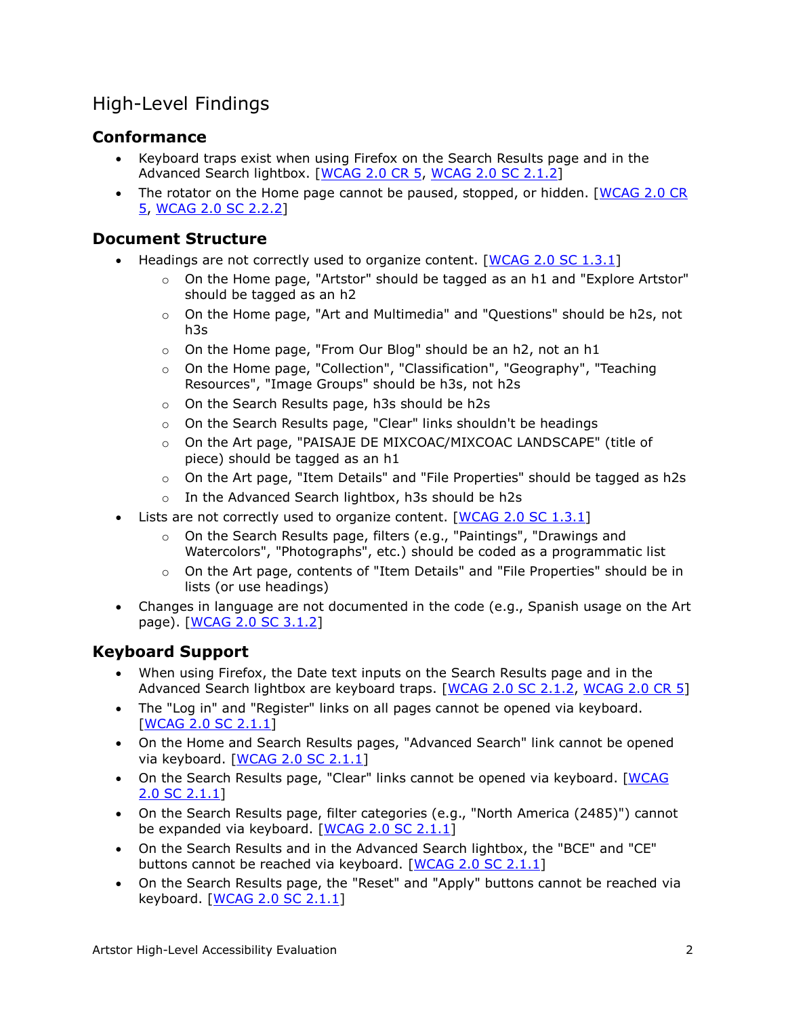# High-Level Findings

## **Conformance**

- Keyboard traps exist when using Firefox on the Search Results page and in the Advanced Search lightbox. [\[WCAG 2.0 CR 5,](http://www.w3.org/TR/UNDERSTANDING-WCAG20/conformance.html#uc-conformance-requirements-head) [WCAG 2.0 SC 2.1.2\]](http://www.w3.org/TR/UNDERSTANDING-WCAG20/keyboard-operation-trapping.html)
- The rotator on the Home page cannot be paused, stopped, or hidden. [WCAG 2.0 CR [5,](http://www.w3.org/TR/UNDERSTANDING-WCAG20/conformance.html#uc-conformance-requirements-head) [WCAG 2.0 SC 2.2.2\]](http://www.w3.org/TR/UNDERSTANDING-WCAG20/time-limits-pause.html)

## **Document Structure**

- Headings are not correctly used to organize content.  $[WCAG 2.0 SC 1.3.1]$  $[WCAG 2.0 SC 1.3.1]$  $[WCAG 2.0 SC 1.3.1]$ 
	- $\circ$  On the Home page, "Artstor" should be tagged as an h1 and "Explore Artstor" should be tagged as an h2
	- $\circ$  On the Home page, "Art and Multimedia" and "Questions" should be h2s, not h3s
	- $\circ$  On the Home page, "From Our Blog" should be an h2, not an h1
	- o On the Home page, "Collection", "Classification", "Geography", "Teaching Resources", "Image Groups" should be h3s, not h2s
	- o On the Search Results page, h3s should be h2s
	- o On the Search Results page, "Clear" links shouldn't be headings
	- o On the Art page, "PAISAJE DE MIXCOAC/MIXCOAC LANDSCAPE" (title of piece) should be tagged as an h1
	- $\circ$  On the Art page, "Item Details" and "File Properties" should be tagged as h2s
	- o In the Advanced Search lightbox, h3s should be h2s
- $\bullet$  Lists are not correctly used to organize content. [[WCAG 2.0 SC 1.3.1](http://www.w3.org/TR/UNDERSTANDING-WCAG20/content-structure-separation-programmatic.html)]
	- o On the Search Results page, filters (e.g., "Paintings", "Drawings and Watercolors", "Photographs", etc.) should be coded as a programmatic list
	- $\circ$  On the Art page, contents of "Item Details" and "File Properties" should be in lists (or use headings)
- Changes in language are not documented in the code (e.g., Spanish usage on the Art page). [\[WCAG 2.0 SC 3.1.2\]](http://www.w3.org/TR/UNDERSTANDING-WCAG20/meaning-other-lang-id.html)

## **Keyboard Support**

- When using Firefox, the Date text inputs on the Search Results page and in the Advanced Search lightbox are keyboard traps. [\[WCAG 2.0 SC 2.1.2,](http://www.w3.org/TR/UNDERSTANDING-WCAG20/keyboard-operation-trapping.html) [WCAG 2.0 CR 5\]](http://www.w3.org/TR/UNDERSTANDING-WCAG20/conformance.html#uc-conformance-requirements-head)
- The "Log in" and "Register" links on all pages cannot be opened via keyboard. [[WCAG 2.0 SC 2.1.1](http://www.w3.org/TR/UNDERSTANDING-WCAG20/keyboard-operation-keyboard-operable.html)]
- On the Home and Search Results pages, "Advanced Search" link cannot be opened via keyboard. [[WCAG 2.0 SC 2.1.1](http://www.w3.org/TR/UNDERSTANDING-WCAG20/keyboard-operation-keyboard-operable.html)]
- On the Search Results page, "Clear" links cannot be opened via keyboard. [[WCAG](http://www.w3.org/TR/UNDERSTANDING-WCAG20/keyboard-operation-keyboard-operable.html)  [2.0 SC 2.1.1](http://www.w3.org/TR/UNDERSTANDING-WCAG20/keyboard-operation-keyboard-operable.html)]
- On the Search Results page, filter categories (e.g., "North America (2485)") cannot be expanded via keyboard. [[WCAG 2.0 SC 2.1.1](http://www.w3.org/TR/UNDERSTANDING-WCAG20/keyboard-operation-keyboard-operable.html)]
- On the Search Results and in the Advanced Search lightbox, the "BCE" and "CE" buttons cannot be reached via keyboard. [[WCAG 2.0 SC 2.1.1](http://www.w3.org/TR/UNDERSTANDING-WCAG20/keyboard-operation-keyboard-operable.html)]
- On the Search Results page, the "Reset" and "Apply" buttons cannot be reached via keyboard. [[WCAG 2.0 SC 2.1.1](http://www.w3.org/TR/UNDERSTANDING-WCAG20/keyboard-operation-keyboard-operable.html)]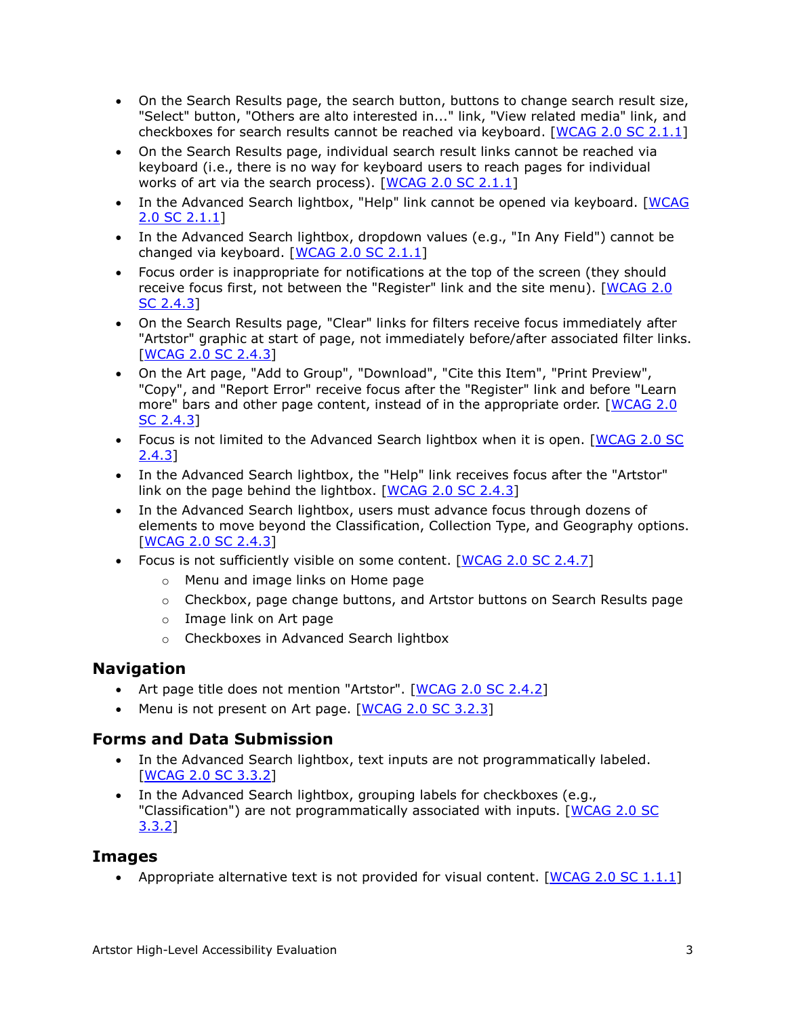- On the Search Results page, the search button, buttons to change search result size, "Select" button, "Others are alto interested in..." link, "View related media" link, and checkboxes for search results cannot be reached via keyboard. [[WCAG 2.0 SC 2.1.1](http://www.w3.org/TR/UNDERSTANDING-WCAG20/keyboard-operation-keyboard-operable.html)]
- On the Search Results page, individual search result links cannot be reached via keyboard (i.e., there is no way for keyboard users to reach pages for individual works of art via the search process). [[WCAG 2.0 SC 2.1.1](http://www.w3.org/TR/UNDERSTANDING-WCAG20/keyboard-operation-keyboard-operable.html)]
- In the Advanced Search lightbox, "Help" link cannot be opened via keyboard. [WCAG [2.0 SC 2.1.1](http://www.w3.org/TR/UNDERSTANDING-WCAG20/keyboard-operation-keyboard-operable.html)]
- In the Advanced Search lightbox, dropdown values (e.g., "In Any Field") cannot be changed via keyboard. [[WCAG 2.0 SC 2.1.1](http://www.w3.org/TR/UNDERSTANDING-WCAG20/keyboard-operation-keyboard-operable.html)]
- Focus order is inappropriate for notifications at the top of the screen (they should receive focus first, not between the "Register" link and the site menu). [WCAG 2.0 [SC 2.4.3](http://www.w3.org/TR/UNDERSTANDING-WCAG20/navigation-mechanisms-focus-order.html)]
- On the Search Results page, "Clear" links for filters receive focus immediately after "Artstor" graphic at start of page, not immediately before/after associated filter links. [[WCAG 2.0 SC 2.4.3](http://www.w3.org/TR/UNDERSTANDING-WCAG20/navigation-mechanisms-focus-order.html)]
- On the Art page, "Add to Group", "Download", "Cite this Item", "Print Preview", "Copy", and "Report Error" receive focus after the "Register" link and before "Learn more" bars and other page content, instead of in the appropriate order. [[WCAG 2.0](http://www.w3.org/TR/UNDERSTANDING-WCAG20/navigation-mechanisms-focus-order.html)  [SC 2.4.3](http://www.w3.org/TR/UNDERSTANDING-WCAG20/navigation-mechanisms-focus-order.html)]
- Focus is not limited to the Advanced Search lightbox when it is open. [[WCAG 2.0 SC](http://www.w3.org/TR/UNDERSTANDING-WCAG20/navigation-mechanisms-focus-order.html)  [2.4.3](http://www.w3.org/TR/UNDERSTANDING-WCAG20/navigation-mechanisms-focus-order.html)]
- In the Advanced Search lightbox, the "Help" link receives focus after the "Artstor" link on the page behind the lightbox. [[WCAG 2.0 SC 2.4.3](http://www.w3.org/TR/UNDERSTANDING-WCAG20/navigation-mechanisms-focus-order.html)]
- In the Advanced Search lightbox, users must advance focus through dozens of elements to move beyond the Classification, Collection Type, and Geography options. [[WCAG 2.0 SC 2.4.3](http://www.w3.org/TR/UNDERSTANDING-WCAG20/navigation-mechanisms-focus-order.html)]
- Focus is not sufficiently visible on some content. [\[WCAG 2.0 SC 2.4.7\]](http://www.w3.org/TR/UNDERSTANDING-WCAG20/navigation-mechanisms-focus-visible.html)
	- o Menu and image links on Home page
	- $\circ$  Checkbox, page change buttons, and Artstor buttons on Search Results page
	- o Image link on Art page
	- o Checkboxes in Advanced Search lightbox

#### **Navigation**

- Art page title does not mention "Artstor". [\[WCAG 2.0 SC 2.4.2\]](http://www.w3.org/TR/UNDERSTANDING-WCAG20/navigation-mechanisms-title.html)
- Menu is not present on Art page. [\[WCAG 2.0 SC 3.2.3\]](http://www.w3.org/TR/UNDERSTANDING-WCAG20/consistent-behavior-consistent-locations.html)

#### **Forms and Data Submission**

- In the Advanced Search lightbox, text inputs are not programmatically labeled. [\[WCAG 2.0 SC 3.3.2\]](http://www.w3.org/TR/UNDERSTANDING-WCAG20/minimize-error-cues.html)
- In the Advanced Search lightbox, grouping labels for checkboxes (e.g., "Classification") are not programmatically associated with inputs. [\[WCAG 2.0 SC](http://www.w3.org/TR/UNDERSTANDING-WCAG20/minimize-error-cues.html)  [3.3.2\]](http://www.w3.org/TR/UNDERSTANDING-WCAG20/minimize-error-cues.html)

#### **Images**

• Appropriate alternative text is not provided for visual content. [WCAG [2.0 SC 1.1.1\]](https://www.w3.org/TR/UNDERSTANDING-WCAG20/text-equiv-all.html)